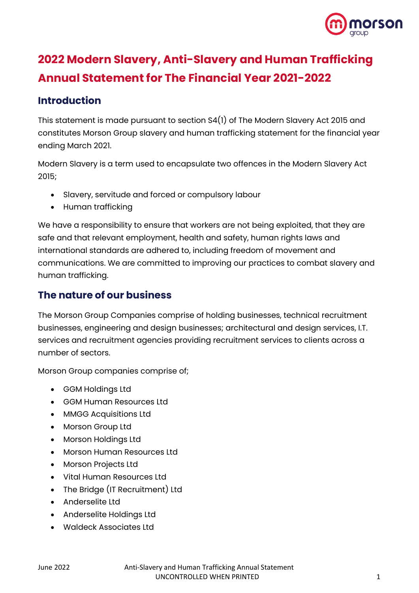

# **2022 Modern Slavery, Anti-Slavery and Human Trafficking Annual Statement for The Financial Year 2021-2022**

### **Introduction**

This statement is made pursuant to section S4(1) of The Modern Slavery Act 2015 and constitutes Morson Group slavery and human trafficking statement for the financial year ending March 2021.

Modern Slavery is a term used to encapsulate two offences in the Modern Slavery Act 2015;

- Slavery, servitude and forced or compulsory labour
- Human trafficking

We have a responsibility to ensure that workers are not being exploited, that they are safe and that relevant employment, health and safety, human rights laws and international standards are adhered to, including freedom of movement and communications. We are committed to improving our practices to combat slavery and human trafficking.

### **The nature of our business**

The Morson Group Companies comprise of holding businesses, technical recruitment businesses, engineering and design businesses; architectural and design services, I.T. services and recruitment agencies providing recruitment services to clients across a number of sectors.

Morson Group companies comprise of;

- GGM Holdings Ltd
- GGM Human Resources Ltd
- MMGG Acquisitions Ltd
- Morson Group Ltd
- Morson Holdings Ltd
- Morson Human Resources Ltd
- Morson Projects Ltd
- Vital Human Resources Ltd
- The Bridge (IT Recruitment) Ltd
- Anderselite Ltd
- Anderselite Holdings Ltd
- Waldeck Associates Ltd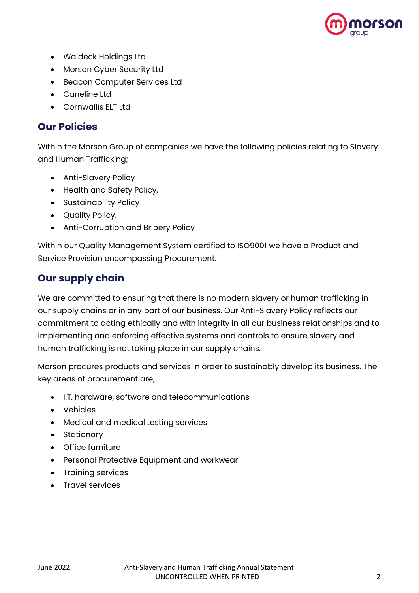

- Waldeck Holdings Ltd
- Morson Cyber Security Ltd
- Beacon Computer Services Ltd
- Caneline Ltd
- Cornwallis FLT Ltd

#### **Our Policies**

Within the Morson Group of companies we have the following policies relating to Slavery and Human Trafficking;

- Anti-Slavery Policy
- Health and Safety Policy,
- Sustainability Policy
- Quality Policy.
- Anti-Corruption and Bribery Policy

Within our Quality Management System certified to ISO9001 we have a Product and Service Provision encompassing Procurement.

### **Our supply chain**

We are committed to ensuring that there is no modern slavery or human trafficking in our supply chains or in any part of our business. Our Anti-Slavery Policy reflects our commitment to acting ethically and with integrity in all our business relationships and to implementing and enforcing effective systems and controls to ensure slavery and human trafficking is not taking place in our supply chains.

Morson procures products and services in order to sustainably develop its business. The key areas of procurement are;

- I.T. hardware, software and telecommunications
- Vehicles
- Medical and medical testing services
- Stationary
- Office furniture
- Personal Protective Equipment and workwear
- Training services
- Travel services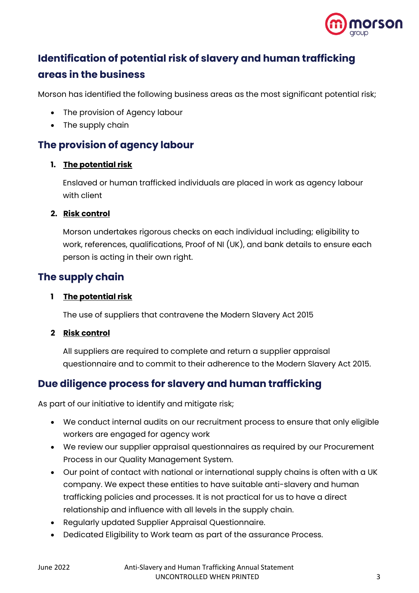

## **Identification of potential risk of slavery and human trafficking areas in the business**

Morson has identified the following business areas as the most significant potential risk;

- The provision of Agency labour
- The supply chain

### **The provision of agency labour**

#### **1. The potential risk**

Enslaved or human trafficked individuals are placed in work as agency labour with client

#### **2. Risk control**

Morson undertakes rigorous checks on each individual including; eligibility to work, references, qualifications, Proof of NI (UK), and bank details to ensure each person is acting in their own right.

### **The supply chain**

#### **1 The potential risk**

The use of suppliers that contravene the Modern Slavery Act 2015

#### **2 Risk control**

All suppliers are required to complete and return a supplier appraisal questionnaire and to commit to their adherence to the Modern Slavery Act 2015.

### **Due diligence process for slavery and human trafficking**

As part of our initiative to identify and mitigate risk;

- We conduct internal audits on our recruitment process to ensure that only eligible workers are engaged for agency work
- We review our supplier appraisal questionnaires as required by our Procurement Process in our Quality Management System.
- Our point of contact with national or international supply chains is often with a UK company. We expect these entities to have suitable anti-slavery and human trafficking policies and processes. It is not practical for us to have a direct relationship and influence with all levels in the supply chain.
- Regularly updated Supplier Appraisal Questionnaire.
- Dedicated Eligibility to Work team as part of the assurance Process.